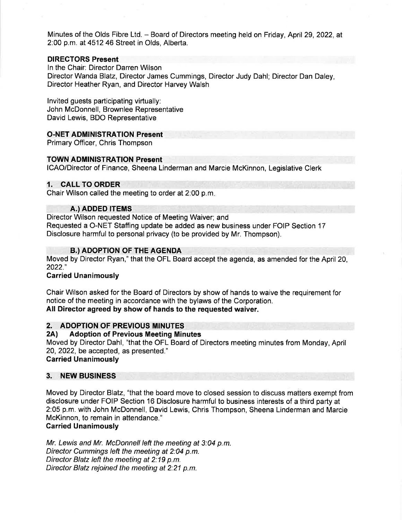Minutes of the Olds Fibre Ltd. - Board of Directors meeting held on Friday, April 29, 2022, at 2:00 p.m. at 4512 46 Street in Olds, Alberta.

### DIRECTORS Present

ln the Chair: Director Darren Wilson Director Wanda Blatz, Director James Cummings, Director Judy Dahl; Director Dan Daley, Director Heather Ryan, and Director Harvey Walsh

lnvited guests participating virtually: John McDonnell, Brownlee Representative David Lewis, BDO Representative

### O-NET ADMINISTRATION Present

Primary Officer, Chris Thompson

### TOWN ADMINISTRATION Present

ICAO/Director of Finance, Sheena Linderman and Marcie McKinnon, Legislative Clerk

### 1. CALL TO ORDER

Chair Wilson called the meeting to order at 2:00 p.m

### A.) ADDED ITEMS

Director Wilson requested Notice of Meeting Waiver; and Requested a O-NET Staffing update be added as new business under FOIP Section 17 Disclosure harmful to personal privacy (to be provided by Mr. Thompson).

### **B.) ADOPTION OF THE AGENDA**

Moved by Director Ryan," that the OFL Board accept the agenda, as amended for the April 20, 2022.',

### Carried Unanimously

Chair Wilson asked for the Board of Directors by show of hands to waive the requirement for notice of the meeting in accordance with the bylaws of the Corporation. All Director agreed by show of hands to the requested waiver.

# 2. ADOPTION OF PREVIOUS MINUTES<br>2A) Adoption of Previous Meeting Minutes

Moved by Director Dahl, "that the OFL Board of Directors meeting minutes from Monday, April 20,2022, be accepted, as presented." Garried Unanimously

## 3. NEW BUSINESS

Moved by Director Blatz, "that the board move to closed session to discuss matters exempt from disclosure under FOIP Section 16 Disclosure harmful to business interests of a third party at 2:05 p.m. with John McDonnell, David Lewis, Chris Thompson, Sheena Linderman and Marcie McKinnon, to remain in attendance."

### Garried Unanimously

Mr. Lewis and Mr. McDonnell left the meeting at 3:04 p.m. Director Cummings left the meeting at 2:04 p.m. Director Blatz left the meeting at 2:19 p.m. Director Blatz rejoined the meeting at 2:21 p.m.